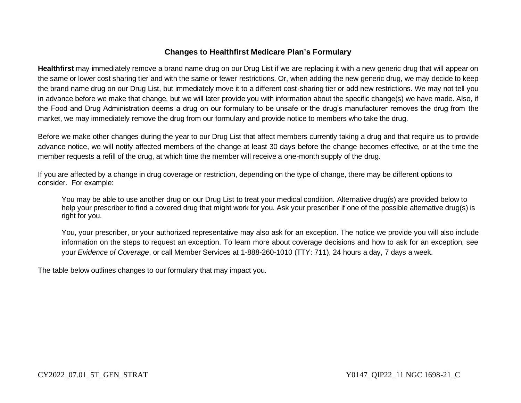## **Changes to Healthfirst Medicare Plan's Formulary**

**Healthfirst** may immediately remove a brand name drug on our Drug List if we are replacing it with a new generic drug that will appear on the same or lower cost sharing tier and with the same or fewer restrictions. Or, when adding the new generic drug, we may decide to keep the brand name drug on our Drug List, but immediately move it to a different cost-sharing tier or add new restrictions. We may not tell you in advance before we make that change, but we will later provide you with information about the specific change(s) we have made. Also, if the Food and Drug Administration deems a drug on our formulary to be unsafe or the drug's manufacturer removes the drug from the market, we may immediately remove the drug from our formulary and provide notice to members who take the drug.

Before we make other changes during the year to our Drug List that affect members currently taking a drug and that require us to provide advance notice, we will notify affected members of the change at least 30 days before the change becomes effective, or at the time the member requests a refill of the drug, at which time the member will receive a one-month supply of the drug.

If you are affected by a change in drug coverage or restriction, depending on the type of change, there may be different options to consider. For example:

You may be able to use another drug on our Drug List to treat your medical condition. Alternative drug(s) are provided below to help your prescriber to find a covered drug that might work for you. Ask your prescriber if one of the possible alternative drug(s) is right for you.

You, your prescriber, or your authorized representative may also ask for an exception. The notice we provide you will also include information on the steps to request an exception. To learn more about coverage decisions and how to ask for an exception, see your *Evidence of Coverage*, or call Member Services at 1-888-260-1010 (TTY: 711), 24 hours a day, 7 days a week.

The table below outlines changes to our formulary that may impact you.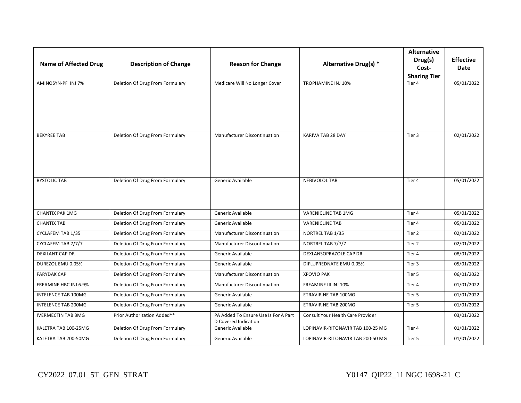| <b>Name of Affected Drug</b> | <b>Description of Change</b>    | <b>Reason for Change</b>                                     | Alternative Drug(s) *             | <b>Alternative</b><br>Drug(s)<br>Cost- | <b>Effective</b><br><b>Date</b> |
|------------------------------|---------------------------------|--------------------------------------------------------------|-----------------------------------|----------------------------------------|---------------------------------|
|                              |                                 |                                                              |                                   | <b>Sharing Tier</b>                    |                                 |
| AMINOSYN-PF INJ 7%           | Deletion Of Drug From Formulary | Medicare Will No Longer Cover                                | TROPHAMINE INJ 10%                | Tier 4                                 | 05/01/2022                      |
| <b>BEKYREE TAB</b>           | Deletion Of Drug From Formulary | Manufacturer Discontinuation                                 | KARIVA TAB 28 DAY                 | Tier 3                                 | 02/01/2022                      |
| <b>BYSTOLIC TAB</b>          | Deletion Of Drug From Formulary | Generic Available                                            | <b>NEBIVOLOL TAB</b>              | Tier 4                                 | 05/01/2022                      |
| <b>CHANTIX PAK 1MG</b>       | Deletion Of Drug From Formulary | Generic Available                                            | <b>VARENICLINE TAB 1MG</b>        | Tier 4                                 | 05/01/2022                      |
| <b>CHANTIX TAB</b>           | Deletion Of Drug From Formulary | Generic Available                                            | <b>VARENICLINE TAB</b>            | Tier 4                                 | 05/01/2022                      |
| CYCLAFEM TAB 1/35            | Deletion Of Drug From Formulary | Manufacturer Discontinuation                                 | NORTREL TAB 1/35                  | Tier 2                                 | 02/01/2022                      |
| CYCLAFEM TAB 7/7/7           | Deletion Of Drug From Formulary | Manufacturer Discontinuation                                 | NORTREL TAB 7/7/7                 | Tier 2                                 | 02/01/2022                      |
| <b>DEXILANT CAP DR</b>       | Deletion Of Drug From Formulary | Generic Available                                            | DEXLANSOPRAZOLE CAP DR            | Tier 4                                 | 08/01/2022                      |
| DUREZOL EMU 0.05%            | Deletion Of Drug From Formulary | Generic Available                                            | DIFLUPREDNATE EMU 0.05%           | Tier 3                                 | 05/01/2022                      |
| <b>FARYDAK CAP</b>           | Deletion Of Drug From Formulary | Manufacturer Discontinuation                                 | <b>XPOVIO PAK</b>                 | Tier 5                                 | 06/01/2022                      |
| FREAMINE HBC INJ 6.9%        | Deletion Of Drug From Formulary | Manufacturer Discontinuation                                 | FREAMINE III INJ 10%              | Tier 4                                 | 01/01/2022                      |
| <b>INTELENCE TAB 100MG</b>   | Deletion Of Drug From Formulary | Generic Available                                            | ETRAVIRINE TAB 100MG              | Tier 5                                 | 01/01/2022                      |
| <b>INTELENCE TAB 200MG</b>   | Deletion Of Drug From Formulary | Generic Available                                            | <b>ETRAVIRINE TAB 200MG</b>       | Tier 5                                 | 01/01/2022                      |
| <b>IVERMECTIN TAB 3MG</b>    | Prior Authorization Added**     | PA Added To Ensure Use Is For A Part<br>D Covered Indication | Consult Your Health Care Provider |                                        | 03/01/2022                      |
| KALETRA TAB 100-25MG         | Deletion Of Drug From Formulary | Generic Available                                            | LOPINAVIR-RITONAVIR TAB 100-25 MG | Tier 4                                 | 01/01/2022                      |
| KALETRA TAB 200-50MG         | Deletion Of Drug From Formulary | Generic Available                                            | LOPINAVIR-RITONAVIR TAB 200-50 MG | Tier 5                                 | 01/01/2022                      |